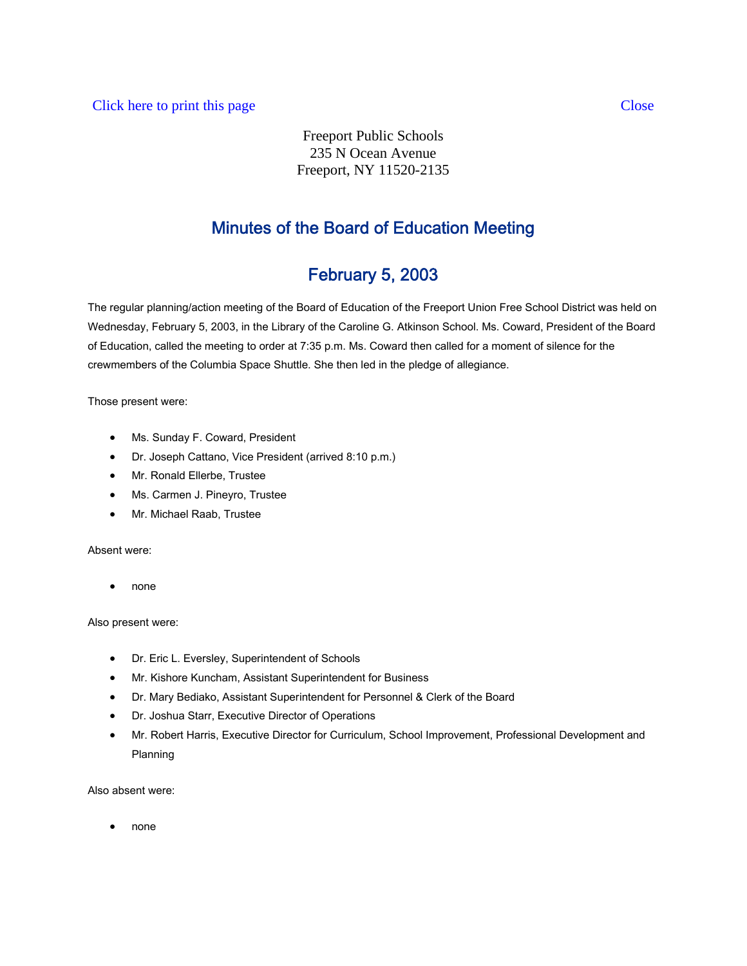Freeport Public Schools 235 N Ocean Avenue Freeport, NY 11520-2135

# Minutes of the Board of Education Meeting

# February 5, 2003

The regular planning/action meeting of the Board of Education of the Freeport Union Free School District was held on Wednesday, February 5, 2003, in the Library of the Caroline G. Atkinson School. Ms. Coward, President of the Board of Education, called the meeting to order at 7:35 p.m. Ms. Coward then called for a moment of silence for the crewmembers of the Columbia Space Shuttle. She then led in the pledge of allegiance.

Those present were:

- Ms. Sunday F. Coward, President
- Dr. Joseph Cattano, Vice President (arrived 8:10 p.m.)
- Mr. Ronald Ellerbe, Trustee
- Ms. Carmen J. Pineyro, Trustee
- Mr. Michael Raab, Trustee

## Absent were:

• none

## Also present were:

- Dr. Eric L. Eversley, Superintendent of Schools
- Mr. Kishore Kuncham, Assistant Superintendent for Business
- Dr. Mary Bediako, Assistant Superintendent for Personnel & Clerk of the Board
- Dr. Joshua Starr, Executive Director of Operations
- Mr. Robert Harris, Executive Director for Curriculum, School Improvement, Professional Development and Planning

Also absent were:

• none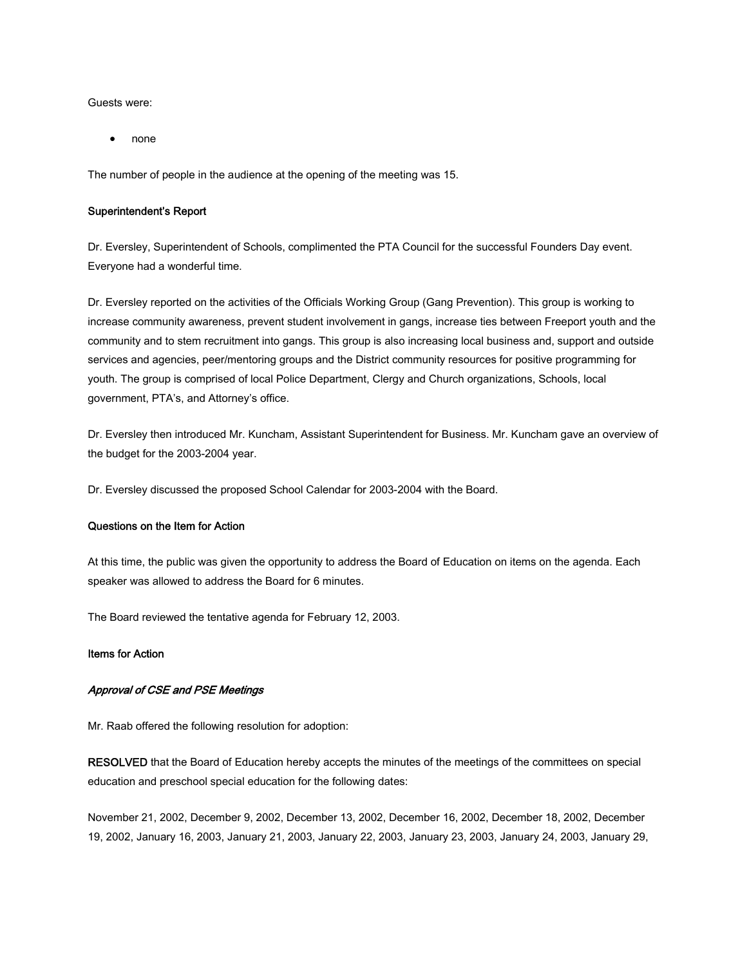Guests were:

• none

The number of people in the audience at the opening of the meeting was 15.

#### Superintendent's Report

Dr. Eversley, Superintendent of Schools, complimented the PTA Council for the successful Founders Day event. Everyone had a wonderful time.

Dr. Eversley reported on the activities of the Officials Working Group (Gang Prevention). This group is working to increase community awareness, prevent student involvement in gangs, increase ties between Freeport youth and the community and to stem recruitment into gangs. This group is also increasing local business and, support and outside services and agencies, peer/mentoring groups and the District community resources for positive programming for youth. The group is comprised of local Police Department, Clergy and Church organizations, Schools, local government, PTA's, and Attorney's office.

Dr. Eversley then introduced Mr. Kuncham, Assistant Superintendent for Business. Mr. Kuncham gave an overview of the budget for the 2003-2004 year.

Dr. Eversley discussed the proposed School Calendar for 2003-2004 with the Board.

#### Questions on the Item for Action

At this time, the public was given the opportunity to address the Board of Education on items on the agenda. Each speaker was allowed to address the Board for 6 minutes.

The Board reviewed the tentative agenda for February 12, 2003.

#### Items for Action

## Approval of CSE and PSE Meetings

Mr. Raab offered the following resolution for adoption:

RESOLVED that the Board of Education hereby accepts the minutes of the meetings of the committees on special education and preschool special education for the following dates:

November 21, 2002, December 9, 2002, December 13, 2002, December 16, 2002, December 18, 2002, December 19, 2002, January 16, 2003, January 21, 2003, January 22, 2003, January 23, 2003, January 24, 2003, January 29,